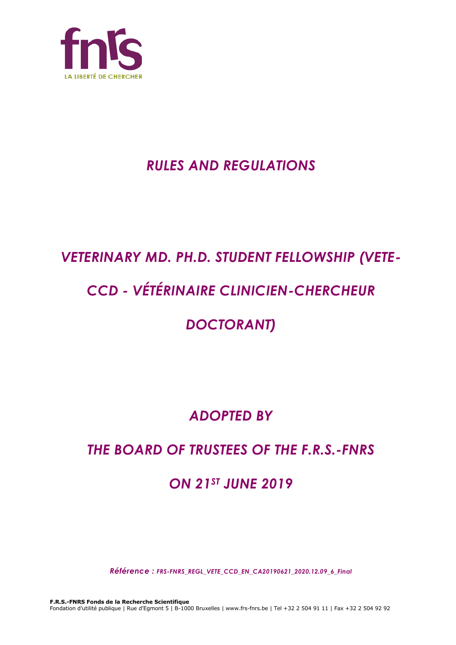

# *RULES AND REGULATIONS*

# *VETERINARY MD. PH.D. STUDENT FELLOWSHIP (VETE-*

# *CCD - VÉTÉRINAIRE CLINICIEN-CHERCHEUR*

# *DOCTORANT)*

# *ADOPTED BY*

# *THE BOARD OF TRUSTEES OF THE F.R.S.-FNRS*

# *ON 21ST JUNE 2019*

*Référence : FRS-FNRS\_REGL\_VETE\_CCD\_EN\_CA20190621\_2020.12.09\_6\_Final*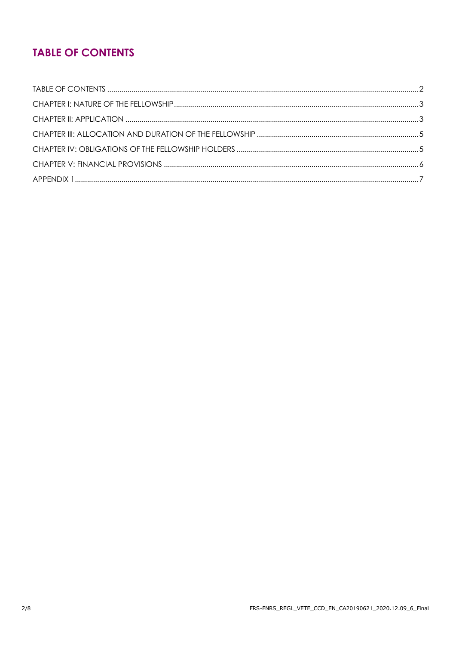## **TABLE OF CONTENTS**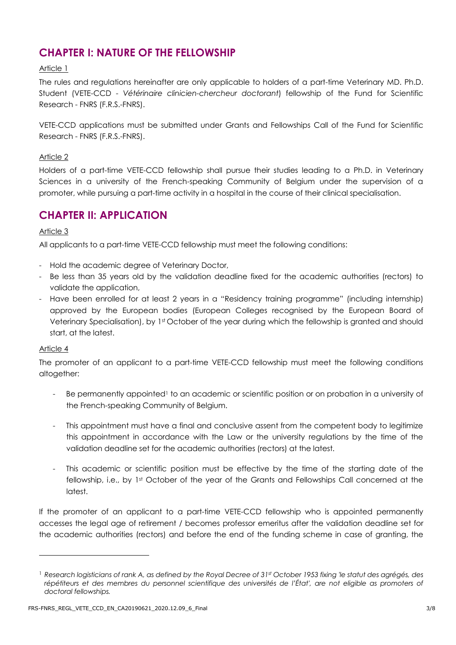### **CHAPTER I: NATURE OF THE FELLOWSHIP**

#### Article 1

The rules and regulations hereinafter are only applicable to holders of a part-time Veterinary MD. Ph.D. Student (VETE-CCD - *Vétérinaire clinicien-chercheur doctorant*) fellowship of the Fund for Scientific Research - FNRS (F.R.S.-FNRS).

VETE-CCD applications must be submitted under Grants and Fellowships Call of the Fund for Scientific Research - FNRS (F.R.S.-FNRS).

#### Article 2

Holders of a part-time VETE-CCD fellowship shall pursue their studies leading to a Ph.D. in Veterinary Sciences in a university of the French-speaking Community of Belgium under the supervision of a promoter, while pursuing a part-time activity in a hospital in the course of their clinical specialisation.

### **CHAPTER II: APPLICATION**

#### Article 3

All applicants to a part-time VETE-CCD fellowship must meet the following conditions:

- Hold the academic degree of Veterinary Doctor,
- Be less than 35 years old by the validation deadline fixed for the academic authorities (rectors) to validate the application,
- Have been enrolled for at least 2 years in a "Residency training programme" (including internship) approved by the European bodies (European Colleges recognised by the European Board of Veterinary Specialisation), by 1st October of the year during which the fellowship is granted and should start, at the latest.

#### Article 4

The promoter of an applicant to a part-time VETE-CCD fellowship must meet the following conditions altogether:

- Be permanently appointed<sup>1</sup> to an academic or scientific position or on probation in a university of the French-speaking Community of Belgium.
- This appointment must have a final and conclusive assent from the competent body to legitimize this appointment in accordance with the Law or the university regulations by the time of the validation deadline set for the academic authorities (rectors) at the latest.
- This academic or scientific position must be effective by the time of the starting date of the fellowship, i.e., by 1st October of the year of the Grants and Fellowships Call concerned at the latest.

If the promoter of an applicant to a part-time VETE-CCD fellowship who is appointed permanently accesses the legal age of retirement / becomes professor emeritus after the validation deadline set for the academic authorities (rectors) and before the end of the funding scheme in case of granting, the

<sup>1</sup> *Research logisticians of rank A, as defined by the Royal Decree of 31st October 1953 fixing 'le statut des agrégés, des répétiteurs et des membres du personnel scientifique des universités de l'État', are not eligible as promoters of doctoral fellowships.*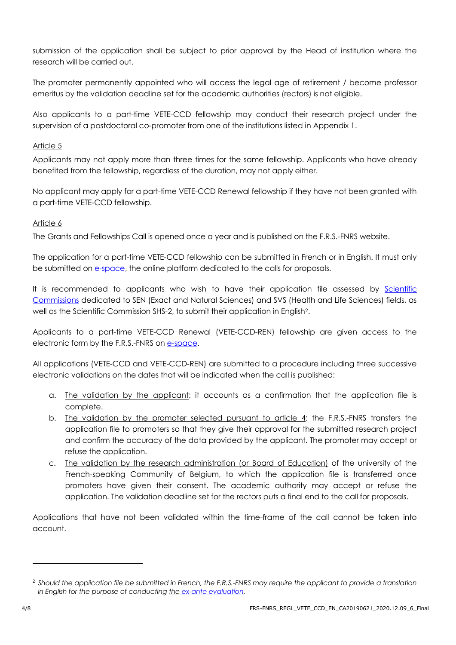submission of the application shall be subject to prior approval by the Head of institution where the research will be carried out.

The promoter permanently appointed who will access the legal age of retirement / become professor emeritus by the validation deadline set for the academic authorities (rectors) is not eligible.

Also applicants to a part-time VETE-CCD fellowship may conduct their research project under the supervision of a postdoctoral co-promoter from one of the institutions listed in Appendix 1.

#### Article 5

Applicants may not apply more than three times for the same fellowship. Applicants who have already benefited from the fellowship, regardless of the duration, may not apply either.

No applicant may apply for a part-time VETE-CCD Renewal fellowship if they have not been granted with a part-time VETE-CCD fellowship.

#### Article 6

The Grants and Fellowships Call is opened once a year and is published on the F.R.S.-FNRS website.

The application for a part-time VETE-CCD fellowship can be submitted in French or in English. It must only be submitted on [e-space,](https://e-space.frs-fnrs.be/) the online platform dedicated to the calls for proposals.

It is recommended to applicants who wish to have their application file assessed by Scientific [Commissions](https://www.frs-fnrs.be/docs/Reglement-et-documents/FRS-FNRS_Champs_descripteurs.pdf) dedicated to SEN (Exact and Natural Sciences) and SVS (Health and Life Sciences) fields, as well as the Scientific Commission SHS-2, to submit their application in English<sup>2</sup>.

Applicants to a part-time VETE-CCD Renewal (VETE-CCD-REN) fellowship are given access to the electronic form by the F.R.S.-FNRS on [e-space.](https://e-space.frs-fnrs.be/)

All applications (VETE-CCD and VETE-CCD-REN) are submitted to a procedure including three successive electronic validations on the dates that will be indicated when the call is published:

- a. The validation by the applicant: it accounts as a confirmation that the application file is complete.
- b. The validation by the promoter selected pursuant to article 4: the F.R.S.-FNRS transfers the application file to promoters so that they give their approval for the submitted research project and confirm the accuracy of the data provided by the applicant. The promoter may accept or refuse the application.
- c. The validation by the research administration (or Board of Education) of the university of the French-speaking Community of Belgium, to which the application file is transferred once promoters have given their consent. The academic authority may accept or refuse the application. The validation deadline set for the rectors puts a final end to the call for proposals.

Applications that have not been validated within the time-frame of the call cannot be taken into account.

<sup>2</sup> *Should the application file be submitted in French, the F.R.S.-FNRS may require the applicant to provide a translation in English for the purpose of conducting the [ex-ante evaluation.](https://www.frs-fnrs.be/docs/Reglement-et-documents/FRS-FNRS_Guide_Evaluation_EN.pdf)*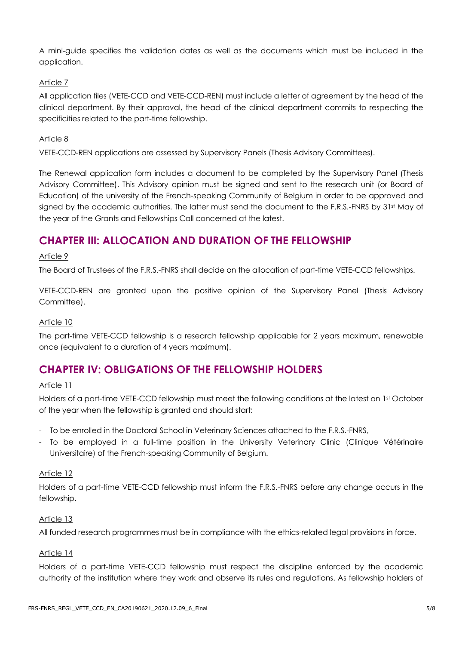A mini-guide specifies the validation dates as well as the documents which must be included in the application.

#### Article 7

All application files (VETE-CCD and VETE-CCD-REN) must include a letter of agreement by the head of the clinical department. By their approval, the head of the clinical department commits to respecting the specificities related to the part-time fellowship.

#### Article 8

VETE-CCD-REN applications are assessed by Supervisory Panels (Thesis Advisory Committees).

The Renewal application form includes a document to be completed by the Supervisory Panel (Thesis Advisory Committee). This Advisory opinion must be signed and sent to the research unit (or Board of Education) of the university of the French-speaking Community of Belgium in order to be approved and signed by the academic authorities. The latter must send the document to the F.R.S.-FNRS by 31st May of the year of the Grants and Fellowships Call concerned at the latest.

### **CHAPTER III: ALLOCATION AND DURATION OF THE FELLOWSHIP**

#### Article 9

The Board of Trustees of the F.R.S.-FNRS shall decide on the allocation of part-time VETE-CCD fellowships.

VETE-CCD-REN are granted upon the positive opinion of the Supervisory Panel (Thesis Advisory Committee).

#### Article 10

The part-time VETE-CCD fellowship is a research fellowship applicable for 2 years maximum, renewable once (equivalent to a duration of 4 years maximum).

### **CHAPTER IV: OBLIGATIONS OF THE FELLOWSHIP HOLDERS**

#### Article 11

Holders of a part-time VETE-CCD fellowship must meet the following conditions at the latest on 1st October of the year when the fellowship is granted and should start:

- To be enrolled in the Doctoral School in Veterinary Sciences attached to the F.R.S.-FNRS,
- To be employed in a full-time position in the University Veterinary Clinic (Clinique Vétérinaire Universitaire) of the French-speaking Community of Belgium.

#### Article 12

Holders of a part-time VETE-CCD fellowship must inform the F.R.S.-FNRS before any change occurs in the fellowship.

#### Article 13

All funded research programmes must be in compliance with the ethics-related legal provisions in force.

#### Article 14

Holders of a part-time VETE-CCD fellowship must respect the discipline enforced by the academic authority of the institution where they work and observe its rules and regulations. As fellowship holders of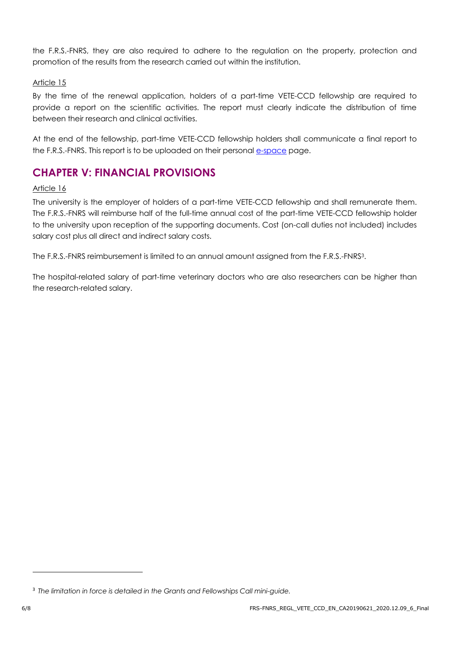the F.R.S.-FNRS, they are also required to adhere to the regulation on the property, protection and promotion of the results from the research carried out within the institution.

#### Article 15

By the time of the renewal application, holders of a part-time VETE-CCD fellowship are required to provide a report on the scientific activities. The report must clearly indicate the distribution of time between their research and clinical activities.

At the end of the fellowship, part-time VETE-CCD fellowship holders shall communicate a final report to the F.R.S.-FNRS. This report is to be uploaded on their personal e[-space](https://e-space.frs-fnrs.be/) page.

### **CHAPTER V: FINANCIAL PROVISIONS**

#### Article 16

The university is the employer of holders of a part-time VETE-CCD fellowship and shall remunerate them. The F.R.S.-FNRS will reimburse half of the full-time annual cost of the part-time VETE-CCD fellowship holder to the university upon reception of the supporting documents. Cost (on-call duties not included) includes salary cost plus all direct and indirect salary costs.

The F.R.S.-FNRS reimbursement is limited to an annual amount assigned from the F.R.S.-FNRS<sup>3</sup>.

The hospital-related salary of part-time veterinary doctors who are also researchers can be higher than the research-related salary.

<sup>3</sup> *The limitation in force is detailed in the Grants and Fellowships Call mini-guide.*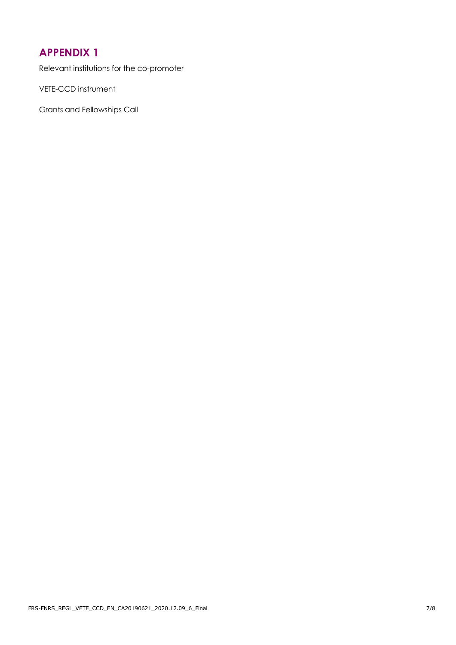### **APPENDIX 1**

Relevant institutions for the co-promoter

VETE-CCD instrument

Grants and Fellowships Call